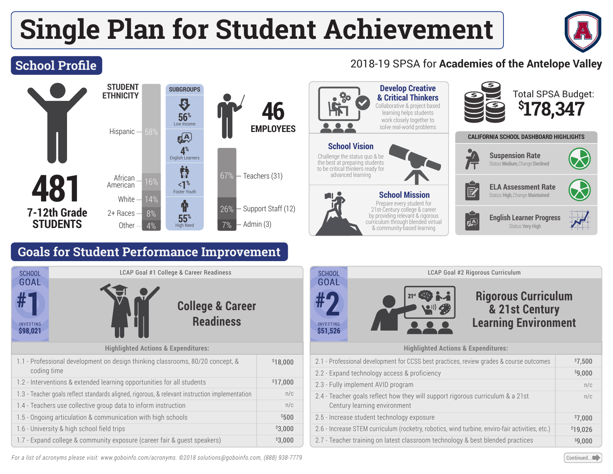# **Single Plan for Student Achievement**



## **School Profile**

#### **STUDENT** SUBGROUPS **ETHNICITY** Ð **46** Low Income **56% EMPLOYEES** Hispanic  $\epsilon$ <sup>A</sup> **4%** English Learners **481**  $\frac{16\%}{51\%}$  16%  $\frac{10\%}{51\%}$  16%  $\frac{10\%}{51\%}$  16% African <**1%** American Foster Youth **White** 14% $\bf \Phi$ 26% - Support Staff (12) **7-12th Grade** 2+ Races 8% **55% STUDENTS** Admin (3) Other  $4%$ High Need

## **Goals for Student Performance Improvement**

| <b>SCHOOL</b>                                                                                  | LCAP Goal #1 College & Career Readiness         |          |
|------------------------------------------------------------------------------------------------|-------------------------------------------------|----------|
| <b>GOAL</b><br><b>INVESTING</b><br>\$98,021                                                    | <b>College &amp; Career</b><br><b>Readiness</b> |          |
| <b>Highlighted Actions &amp; Expenditures:</b>                                                 |                                                 |          |
| 1.1 - Professional development on design thinking classrooms, 80/20 concept, &<br>coding time  |                                                 | \$18,000 |
| 1.2 - Interventions & extended learning opportunities for all students                         |                                                 | \$17,000 |
| 1.3 - Teacher goals reflect standards aligned, rigorous, & relevant instruction implementation |                                                 | n/c      |
| 1.4 - Teachers use collective group data to inform instruction                                 |                                                 | n/c      |
| 1.5 - Ongoing articulation & communication with high schools                                   |                                                 | \$500    |
| 1.6 - University & high school field trips                                                     |                                                 | \$3,000  |
| 1.7 - Expand college & community exposure (career fair & quest speakers)                       |                                                 | \$3,000  |

#### 2018-19 SPSA for **Academies of the Antelope Valley**



#### LCAP Goal #2 Rigorous Curriculum **Rigorous Curriculum & 21st Century Learning Environment SCHOOL** GOAL INVESTING **\$51,526 #2**

#### **Highlighted Actions & Expenditures:**

| 2.1 - Professional development for CCSS best practices, review grades & course outcomes                        | \$7.500  |
|----------------------------------------------------------------------------------------------------------------|----------|
| 2.2 - Expand technology access & proficiency                                                                   | \$9,000  |
| 2.3 - Fully implement AVID program                                                                             | n/c      |
| 2.4 - Teacher goals reflect how they will support rigorous curriculum & a 21st<br>Century learning environment | n/c      |
| 2.5 - Increase student technology exposure                                                                     | \$7.000  |
| 2.6 - Increase STEM curriculum (rocketry, robotics, wind turbine, enviro-fair activities, etc.)                | \$19,026 |
| 2.7 - Teacher training on latest classroom technology & best blended practices                                 | \$9,000  |

*For a list of acronyms please visit: www.goboinfo.com/acronyms. ©2018 solutions@goboinfo.com, (888) 938-7779* **Continued...●**Continued...■